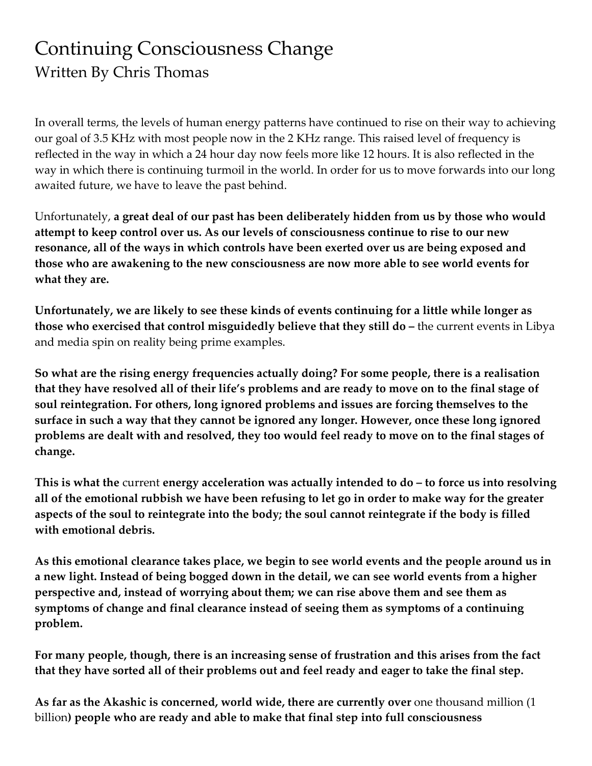## Continuing Consciousness Change Written By Chris Thomas

In overall terms, the levels of human energy patterns have continued to rise on their way to achieving our goal of 3.5 KHz with most people now in the 2 KHz range. This raised level of frequency is reflected in the way in which a 24 hour day now feels more like 12 hours. It is also reflected in the way in which there is continuing turmoil in the world. In order for us to move forwards into our long awaited future, we have to leave the past behind.

Unfortunately, **a great deal of our past has been deliberately hidden from us by those who would attempt to keep control over us. As our levels of consciousness continue to rise to our new resonance, all of the ways in which controls have been exerted over us are being exposed and those who are awakening to the new consciousness are now more able to see world events for what they are.**

**Unfortunately, we are likely to see these kinds of events continuing for a little while longer as those who exercised that control misguidedly believe that they still do –** the current events in Libya and media spin on reality being prime examples.

**So what are the rising energy frequencies actually doing? For some people, there is a realisation that they have resolved all of their life's problems and are ready to move on to the final stage of soul reintegration. For others, long ignored problems and issues are forcing themselves to the surface in such a way that they cannot be ignored any longer. However, once these long ignored problems are dealt with and resolved, they too would feel ready to move on to the final stages of change.**

**This is what the** current **energy acceleration was actually intended to do – to force us into resolving all of the emotional rubbish we have been refusing to let go in order to make way for the greater aspects of the soul to reintegrate into the body; the soul cannot reintegrate if the body is filled with emotional debris.**

**As this emotional clearance takes place, we begin to see world events and the people around us in a new light. Instead of being bogged down in the detail, we can see world events from a higher perspective and, instead of worrying about them; we can rise above them and see them as symptoms of change and final clearance instead of seeing them as symptoms of a continuing problem.**

**For many people, though, there is an increasing sense of frustration and this arises from the fact that they have sorted all of their problems out and feel ready and eager to take the final step.**

**As far as the Akashic is concerned, world wide, there are currently over** one thousand million (1 billion**) people who are ready and able to make that final step into full consciousness**